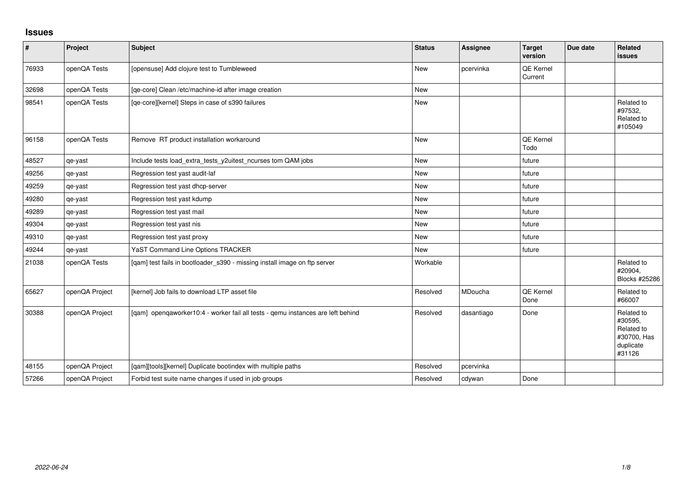## **Issues**

| $\vert$ # | Project        | Subject                                                                         | <b>Status</b> | <b>Assignee</b> | <b>Target</b><br>version | Due date | Related<br><b>issues</b>                                                  |
|-----------|----------------|---------------------------------------------------------------------------------|---------------|-----------------|--------------------------|----------|---------------------------------------------------------------------------|
| 76933     | openQA Tests   | [opensuse] Add clojure test to Tumbleweed                                       | <b>New</b>    | pcervinka       | QE Kernel<br>Current     |          |                                                                           |
| 32698     | openQA Tests   | [qe-core] Clean /etc/machine-id after image creation                            | <b>New</b>    |                 |                          |          |                                                                           |
| 98541     | openQA Tests   | [qe-core][kernel] Steps in case of s390 failures                                | New           |                 |                          |          | Related to<br>#97532,<br>Related to<br>#105049                            |
| 96158     | openQA Tests   | Remove RT product installation workaround                                       | <b>New</b>    |                 | QE Kernel<br>Todo        |          |                                                                           |
| 48527     | qe-yast        | Include tests load_extra_tests_y2uitest_ncurses tom QAM jobs                    | New           |                 | future                   |          |                                                                           |
| 49256     | qe-yast        | Regression test yast audit-laf                                                  | <b>New</b>    |                 | future                   |          |                                                                           |
| 49259     | qe-yast        | Regression test yast dhcp-server                                                | <b>New</b>    |                 | future                   |          |                                                                           |
| 49280     | qe-yast        | Regression test yast kdump                                                      | New           |                 | future                   |          |                                                                           |
| 49289     | qe-yast        | Regression test yast mail                                                       | <b>New</b>    |                 | future                   |          |                                                                           |
| 49304     | qe-yast        | Regression test yast nis                                                        | <b>New</b>    |                 | future                   |          |                                                                           |
| 49310     | qe-yast        | Regression test yast proxy                                                      | <b>New</b>    |                 | future                   |          |                                                                           |
| 49244     | qe-yast        | YaST Command Line Options TRACKER                                               | <b>New</b>    |                 | future                   |          |                                                                           |
| 21038     | openQA Tests   | [qam] test fails in bootloader_s390 - missing install image on ftp server       | Workable      |                 |                          |          | Related to<br>#20904,<br>Blocks #25286                                    |
| 65627     | openQA Project | [kernel] Job fails to download LTP asset file                                   | Resolved      | MDoucha         | QE Kernel<br>Done        |          | Related to<br>#66007                                                      |
| 30388     | openQA Project | [qam] openqaworker10:4 - worker fail all tests - qemu instances are left behind | Resolved      | dasantiago      | Done                     |          | Related to<br>#30595,<br>Related to<br>#30700, Has<br>duplicate<br>#31126 |
| 48155     | openQA Project | [qam][tools][kernel] Duplicate bootindex with multiple paths                    | Resolved      | pcervinka       |                          |          |                                                                           |
| 57266     | openQA Project | Forbid test suite name changes if used in job groups                            | Resolved      | cdywan          | Done                     |          |                                                                           |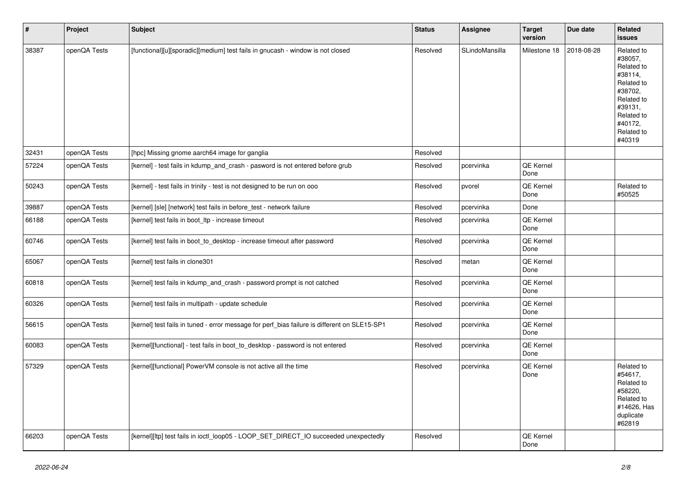| $\vert$ # | Project      | <b>Subject</b>                                                                               | <b>Status</b> | Assignee       | <b>Target</b><br>version | Due date   | Related<br><b>issues</b>                                                                                                                          |
|-----------|--------------|----------------------------------------------------------------------------------------------|---------------|----------------|--------------------------|------------|---------------------------------------------------------------------------------------------------------------------------------------------------|
| 38387     | openQA Tests | [functional][u][sporadic][medium] test fails in gnucash - window is not closed               | Resolved      | SLindoMansilla | Milestone 18             | 2018-08-28 | Related to<br>#38057,<br>Related to<br>#38114,<br>Related to<br>#38702,<br>Related to<br>#39131.<br>Related to<br>#40172,<br>Related to<br>#40319 |
| 32431     | openQA Tests | [hpc] Missing gnome aarch64 image for ganglia                                                | Resolved      |                |                          |            |                                                                                                                                                   |
| 57224     | openQA Tests | [kernel] - test fails in kdump_and_crash - pasword is not entered before grub                | Resolved      | pcervinka      | QE Kernel<br>Done        |            |                                                                                                                                                   |
| 50243     | openQA Tests | [kernel] - test fails in trinity - test is not designed to be run on ooo                     | Resolved      | pvorel         | QE Kernel<br>Done        |            | Related to<br>#50525                                                                                                                              |
| 39887     | openQA Tests | [kernel] [sle] [network] test fails in before_test - network failure                         | Resolved      | pcervinka      | Done                     |            |                                                                                                                                                   |
| 66188     | openQA Tests | [kernel] test fails in boot_ltp - increase timeout                                           | Resolved      | pcervinka      | QE Kernel<br>Done        |            |                                                                                                                                                   |
| 60746     | openQA Tests | [kernel] test fails in boot_to_desktop - increase timeout after password                     | Resolved      | pcervinka      | QE Kernel<br>Done        |            |                                                                                                                                                   |
| 65067     | openQA Tests | [kernel] test fails in clone301                                                              | Resolved      | metan          | QE Kernel<br>Done        |            |                                                                                                                                                   |
| 60818     | openQA Tests | [kernel] test fails in kdump and crash - password prompt is not catched                      | Resolved      | pcervinka      | QE Kernel<br>Done        |            |                                                                                                                                                   |
| 60326     | openQA Tests | [kernel] test fails in multipath - update schedule                                           | Resolved      | pcervinka      | QE Kernel<br>Done        |            |                                                                                                                                                   |
| 56615     | openQA Tests | [kernel] test fails in tuned - error message for perf_bias failure is different on SLE15-SP1 | Resolved      | pcervinka      | QE Kernel<br>Done        |            |                                                                                                                                                   |
| 60083     | openQA Tests | [kernel][functional] - test fails in boot_to_desktop - password is not entered               | Resolved      | pcervinka      | QE Kernel<br>Done        |            |                                                                                                                                                   |
| 57329     | openQA Tests | [kernel][functional] PowerVM console is not active all the time                              | Resolved      | pcervinka      | QE Kernel<br>Done        |            | Related to<br>#54617.<br>Related to<br>#58220,<br>Related to<br>#14626, Has<br>duplicate<br>#62819                                                |
| 66203     | openQA Tests | [kernel][ltp] test fails in ioctl_loop05 - LOOP_SET_DIRECT_IO succeeded unexpectedly         | Resolved      |                | QE Kernel<br>Done        |            |                                                                                                                                                   |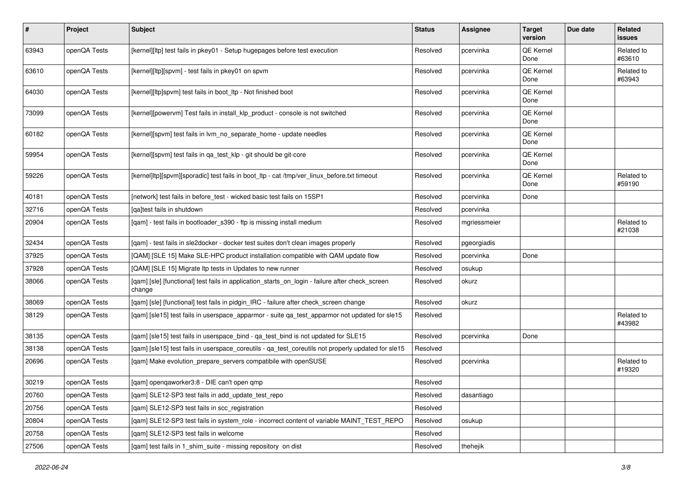| $\sharp$ | Project      | <b>Subject</b>                                                                                            | <b>Status</b> | Assignee     | <b>Target</b><br>version | Due date | Related<br>issues    |
|----------|--------------|-----------------------------------------------------------------------------------------------------------|---------------|--------------|--------------------------|----------|----------------------|
| 63943    | openQA Tests | [kernel][ltp] test fails in pkey01 - Setup hugepages before test execution                                | Resolved      | pcervinka    | QE Kernel<br>Done        |          | Related to<br>#63610 |
| 63610    | openQA Tests | [kernel][ltp][spvm] - test fails in pkey01 on spvm                                                        | Resolved      | pcervinka    | QE Kernel<br>Done        |          | Related to<br>#63943 |
| 64030    | openQA Tests | [kernel][ltp]spvm] test fails in boot_ltp - Not finished boot                                             | Resolved      | pcervinka    | QE Kernel<br>Done        |          |                      |
| 73099    | openQA Tests | [kernel][powervm] Test fails in install_klp_product - console is not switched                             | Resolved      | pcervinka    | QE Kernel<br>Done        |          |                      |
| 60182    | openQA Tests | [kernel][spvm] test fails in lvm_no_separate_home - update needles                                        | Resolved      | pcervinka    | QE Kernel<br>Done        |          |                      |
| 59954    | openQA Tests | [kernel][spvm] test fails in qa_test_klp - git should be git-core                                         | Resolved      | pcervinka    | QE Kernel<br>Done        |          |                      |
| 59226    | openQA Tests | [kernel]ltp][spvm][sporadic] test fails in boot_ltp - cat /tmp/ver_linux_before.txt timeout               | Resolved      | pcervinka    | QE Kernel<br>Done        |          | Related to<br>#59190 |
| 40181    | openQA Tests | [network] test fails in before_test - wicked basic test fails on 15SP1                                    | Resolved      | pcervinka    | Done                     |          |                      |
| 32716    | openQA Tests | [ga]test fails in shutdown                                                                                | Resolved      | pcervinka    |                          |          |                      |
| 20904    | openQA Tests | [qam] - test fails in bootloader_s390 - ftp is missing install medium                                     | Resolved      | mgriessmeier |                          |          | Related to<br>#21038 |
| 32434    | openQA Tests | [qam] - test fails in sle2docker - docker test suites don't clean images properly                         | Resolved      | pgeorgiadis  |                          |          |                      |
| 37925    | openQA Tests | [QAM] [SLE 15] Make SLE-HPC product installation compatible with QAM update flow                          | Resolved      | pcervinka    | Done                     |          |                      |
| 37928    | openQA Tests | [QAM] [SLE 15] Migrate Itp tests in Updates to new runner                                                 | Resolved      | osukup       |                          |          |                      |
| 38066    | openQA Tests | [qam] [sle] [functional] test fails in application_starts_on_login - failure after check_screen<br>change | Resolved      | okurz        |                          |          |                      |
| 38069    | openQA Tests | [qam] [sle] [functional] test fails in pidgin_IRC - failure after check_screen change                     | Resolved      | okurz        |                          |          |                      |
| 38129    | openQA Tests | [qam] [sle15] test fails in userspace_apparmor - suite qa_test_apparmor not updated for sle15             | Resolved      |              |                          |          | Related to<br>#43982 |
| 38135    | openQA Tests | [qam] [sle15] test fails in userspace_bind - qa_test_bind is not updated for SLE15                        | Resolved      | pcervinka    | Done                     |          |                      |
| 38138    | openQA Tests | [qam] [sle15] test fails in userspace_coreutils - qa_test_coreutils not properly updated for sle15        | Resolved      |              |                          |          |                      |
| 20696    | openQA Tests | [qam] Make evolution_prepare_servers compatibile with openSUSE                                            | Resolved      | pcervinka    |                          |          | Related to<br>#19320 |
| 30219    | openQA Tests | [qam] openqaworker3:8 - DIE can't open qmp                                                                | Resolved      |              |                          |          |                      |
| 20760    | openQA Tests | [gam] SLE12-SP3 test fails in add update test repo                                                        | Resolved      | dasantiago   |                          |          |                      |
| 20756    | openQA Tests | [qam] SLE12-SP3 test fails in scc_registration                                                            | Resolved      |              |                          |          |                      |
| 20804    | openQA Tests | [qam] SLE12-SP3 test fails in system_role - incorrect content of variable MAINT_TEST_REPO                 | Resolved      | osukup       |                          |          |                      |
| 20758    | openQA Tests | [gam] SLE12-SP3 test fails in welcome                                                                     | Resolved      |              |                          |          |                      |
| 27506    | openQA Tests | [qam] test fails in 1_shim_suite - missing repository on dist                                             | Resolved      | thehejik     |                          |          |                      |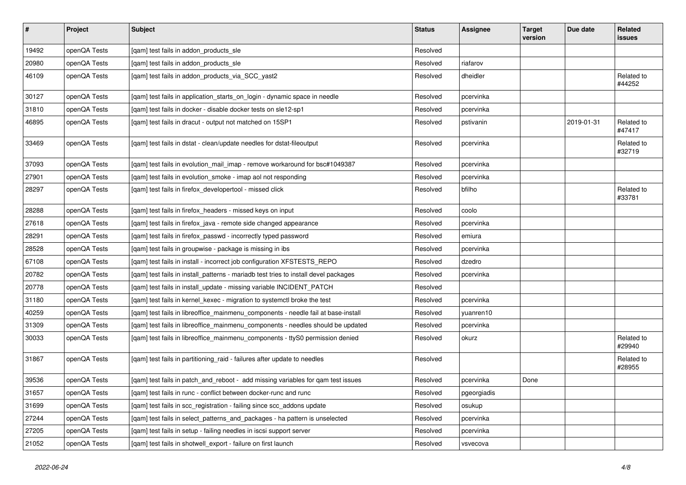| $\vert$ # | Project      | <b>Subject</b>                                                                      | <b>Status</b> | <b>Assignee</b> | <b>Target</b><br>version | Due date   | <b>Related</b><br>issues |
|-----------|--------------|-------------------------------------------------------------------------------------|---------------|-----------------|--------------------------|------------|--------------------------|
| 19492     | openQA Tests | [gam] test fails in addon products sle                                              | Resolved      |                 |                          |            |                          |
| 20980     | openQA Tests | [gam] test fails in addon products sle                                              | Resolved      | riafarov        |                          |            |                          |
| 46109     | openQA Tests | [qam] test fails in addon_products_via_SCC_yast2                                    | Resolved      | dheidler        |                          |            | Related to<br>#44252     |
| 30127     | openQA Tests | [qam] test fails in application_starts_on_login - dynamic space in needle           | Resolved      | pcervinka       |                          |            |                          |
| 31810     | openQA Tests | [gam] test fails in docker - disable docker tests on sle12-sp1                      | Resolved      | pcervinka       |                          |            |                          |
| 46895     | openQA Tests | [qam] test fails in dracut - output not matched on 15SP1                            | Resolved      | pstivanin       |                          | 2019-01-31 | Related to<br>#47417     |
| 33469     | openQA Tests | [qam] test fails in dstat - clean/update needles for dstat-fileoutput               | Resolved      | pcervinka       |                          |            | Related to<br>#32719     |
| 37093     | openQA Tests | [qam] test fails in evolution_mail_imap - remove workaround for bsc#1049387         | Resolved      | pcervinka       |                          |            |                          |
| 27901     | openQA Tests | [qam] test fails in evolution_smoke - imap aol not responding                       | Resolved      | pcervinka       |                          |            |                          |
| 28297     | openQA Tests | [qam] test fails in firefox_developertool - missed click                            | Resolved      | bfilho          |                          |            | Related to<br>#33781     |
| 28288     | openQA Tests | [gam] test fails in firefox headers - missed keys on input                          | Resolved      | coolo           |                          |            |                          |
| 27618     | openQA Tests | [gam] test fails in firefox java - remote side changed appearance                   | Resolved      | pcervinka       |                          |            |                          |
| 28291     | openQA Tests | [qam] test fails in firefox_passwd - incorrectly typed password                     | Resolved      | emiura          |                          |            |                          |
| 28528     | openQA Tests | [gam] test fails in groupwise - package is missing in ibs                           | Resolved      | pcervinka       |                          |            |                          |
| 67108     | openQA Tests | [qam] test fails in install - incorrect job configuration XFSTESTS_REPO             | Resolved      | dzedro          |                          |            |                          |
| 20782     | openQA Tests | [qam] test fails in install_patterns - mariadb test tries to install devel packages | Resolved      | pcervinka       |                          |            |                          |
| 20778     | openQA Tests | [qam] test fails in install_update - missing variable INCIDENT_PATCH                | Resolved      |                 |                          |            |                          |
| 31180     | openQA Tests | [gam] test fails in kernel kexec - migration to systemctl broke the test            | Resolved      | pcervinka       |                          |            |                          |
| 40259     | openQA Tests | [gam] test fails in libreoffice mainmenu components - needle fail at base-install   | Resolved      | yuanren10       |                          |            |                          |
| 31309     | openQA Tests | [gam] test fails in libreoffice mainmenu components - needles should be updated     | Resolved      | pcervinka       |                          |            |                          |
| 30033     | openQA Tests | [gam] test fails in libreoffice mainmenu components - ttyS0 permission denied       | Resolved      | okurz           |                          |            | Related to<br>#29940     |
| 31867     | openQA Tests | [qam] test fails in partitioning_raid - failures after update to needles            | Resolved      |                 |                          |            | Related to<br>#28955     |
| 39536     | openQA Tests | [qam] test fails in patch_and_reboot - add missing variables for qam test issues    | Resolved      | pcervinka       | Done                     |            |                          |
| 31657     | openQA Tests | [gam] test fails in runc - conflict between docker-runc and runc                    | Resolved      | pgeorgiadis     |                          |            |                          |
| 31699     | openQA Tests | [gam] test fails in scc_registration - failing since scc_addons update              | Resolved      | osukup          |                          |            |                          |
| 27244     | openQA Tests | [gam] test fails in select_patterns_and_packages - ha pattern is unselected         | Resolved      | pcervinka       |                          |            |                          |
| 27205     | openQA Tests | [qam] test fails in setup - failing needles in iscsi support server                 | Resolved      | pcervinka       |                          |            |                          |
| 21052     | openQA Tests | [gam] test fails in shotwell export - failure on first launch                       | Resolved      | vsvecova        |                          |            |                          |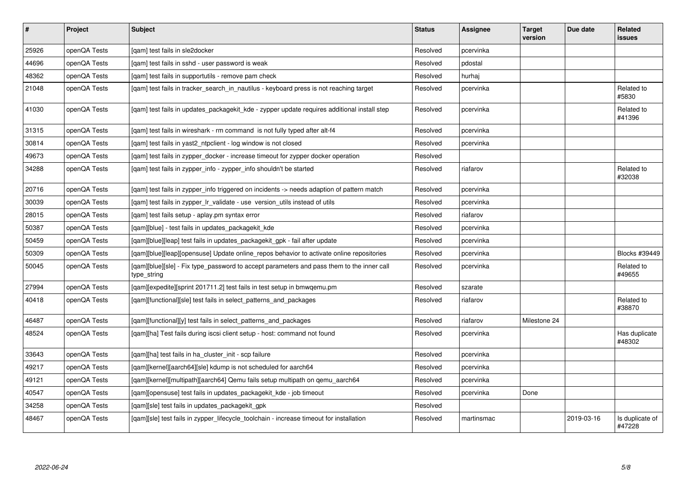| #     | Project      | <b>Subject</b>                                                                                           | <b>Status</b> | Assignee   | <b>Target</b><br>version | Due date   | Related<br>issues         |
|-------|--------------|----------------------------------------------------------------------------------------------------------|---------------|------------|--------------------------|------------|---------------------------|
| 25926 | openQA Tests | [gam] test fails in sle2docker                                                                           | Resolved      | pcervinka  |                          |            |                           |
| 44696 | openQA Tests | [qam] test fails in sshd - user password is weak                                                         | Resolved      | pdostal    |                          |            |                           |
| 48362 | openQA Tests | [qam] test fails in supportutils - remove pam check                                                      | Resolved      | hurhaj     |                          |            |                           |
| 21048 | openQA Tests | [qam] test fails in tracker_search_in_nautilus - keyboard press is not reaching target                   | Resolved      | pcervinka  |                          |            | Related to<br>#5830       |
| 41030 | openQA Tests | [gam] test fails in updates packagekit kde - zypper update requires additional install step              | Resolved      | pcervinka  |                          |            | Related to<br>#41396      |
| 31315 | openQA Tests | [gam] test fails in wireshark - rm command is not fully typed after alt-f4                               | Resolved      | pcervinka  |                          |            |                           |
| 30814 | openQA Tests | [qam] test fails in yast2_ntpclient - log window is not closed                                           | Resolved      | pcervinka  |                          |            |                           |
| 49673 | openQA Tests | [gam] test fails in zypper docker - increase timeout for zypper docker operation                         | Resolved      |            |                          |            |                           |
| 34288 | openQA Tests | [qam] test fails in zypper_info - zypper_info shouldn't be started                                       | Resolved      | riafarov   |                          |            | Related to<br>#32038      |
| 20716 | openQA Tests | [gam] test fails in zypper info triggered on incidents -> needs adaption of pattern match                | Resolved      | pcervinka  |                          |            |                           |
| 30039 | openQA Tests | [gam] test fails in zypper Ir validate - use version utils instead of utils                              | Resolved      | pcervinka  |                          |            |                           |
| 28015 | openQA Tests | [qam] test fails setup - aplay.pm syntax error                                                           | Resolved      | riafarov   |                          |            |                           |
| 50387 | openQA Tests | [gam][blue] - test fails in updates packagekit kde                                                       | Resolved      | pcervinka  |                          |            |                           |
| 50459 | openQA Tests | [gam][blue][leap] test fails in updates packagekit gpk - fail after update                               | Resolved      | pcervinka  |                          |            |                           |
| 50309 | openQA Tests | [gam][blue][leap][opensuse] Update online repos behavior to activate online repositories                 | Resolved      | pcervinka  |                          |            | Blocks #39449             |
| 50045 | openQA Tests | [gam][blue][sle] - Fix type password to accept parameters and pass them to the inner call<br>type_string | Resolved      | pcervinka  |                          |            | Related to<br>#49655      |
| 27994 | openQA Tests | [qam][expedite][sprint 201711.2] test fails in test setup in bmwqemu.pm                                  | Resolved      | szarate    |                          |            |                           |
| 40418 | openQA Tests | [qam][functional][sle] test fails in select_patterns_and_packages                                        | Resolved      | riafarov   |                          |            | Related to<br>#38870      |
| 46487 | openQA Tests | [qam][functional][y] test fails in select_patterns_and_packages                                          | Resolved      | riafarov   | Milestone 24             |            |                           |
| 48524 | openQA Tests | [gam][ha] Test fails during iscsi client setup - host: command not found                                 | Resolved      | pcervinka  |                          |            | Has duplicate<br>#48302   |
| 33643 | openQA Tests | [qam][ha] test fails in ha_cluster_init - scp failure                                                    | Resolved      | pcervinka  |                          |            |                           |
| 49217 | openQA Tests | [qam][kernel][aarch64][sle] kdump is not scheduled for aarch64                                           | Resolved      | pcervinka  |                          |            |                           |
| 49121 | openQA Tests | [gam][kernel][multipath][aarch64] Qemu fails setup multipath on gemu aarch64                             | Resolved      | pcervinka  |                          |            |                           |
| 40547 | openQA Tests | [qam][opensuse] test fails in updates_packagekit_kde - job timeout                                       | Resolved      | pcervinka  | Done                     |            |                           |
| 34258 | openQA Tests | [gam][sle] test fails in updates packagekit gpk                                                          | Resolved      |            |                          |            |                           |
| 48467 | openQA Tests | [gam][sle] test fails in zypper lifecycle toolchain - increase timeout for installation                  | Resolved      | martinsmac |                          | 2019-03-16 | Is duplicate of<br>#47228 |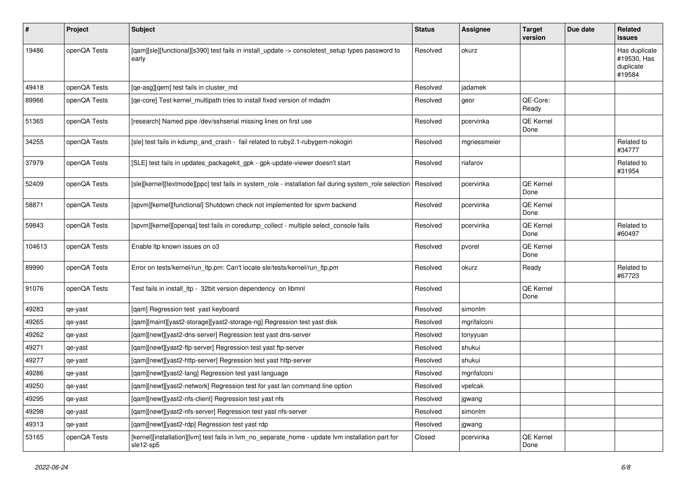| #      | Project      | Subject                                                                                                        | <b>Status</b> | <b>Assignee</b> | <b>Target</b><br>version | Due date | Related<br><b>issues</b>                            |
|--------|--------------|----------------------------------------------------------------------------------------------------------------|---------------|-----------------|--------------------------|----------|-----------------------------------------------------|
| 19486  | openQA Tests | [gam][sle][functional][s390] test fails in install_update -> consoletest_setup types password to<br>early      | Resolved      | okurz           |                          |          | Has duplicate<br>#19530, Has<br>duplicate<br>#19584 |
| 49418  | openQA Tests | [qe-asg][qem] test fails in cluster_md                                                                         | Resolved      | jadamek         |                          |          |                                                     |
| 89966  | openQA Tests | [qe-core] Test kernel_multipath tries to install fixed version of mdadm                                        | Resolved      | geor            | QE-Core:<br>Ready        |          |                                                     |
| 51365  | openQA Tests | [research] Named pipe /dev/sshserial missing lines on first use                                                | Resolved      | pcervinka       | QE Kernel<br>Done        |          |                                                     |
| 34255  | openQA Tests | [sle] test fails in kdump_and_crash - fail related to ruby2.1-rubygem-nokogiri                                 | Resolved      | mgriessmeier    |                          |          | Related to<br>#34777                                |
| 37979  | openQA Tests | [SLE] test fails in updates_packagekit_gpk - gpk-update-viewer doesn't start                                   | Resolved      | riafarov        |                          |          | Related to<br>#31954                                |
| 52409  | openQA Tests | [sle][kernel][textmode][ppc] test fails in system_role - installation fail during system_role selection        | Resolved      | pcervinka       | QE Kernel<br>Done        |          |                                                     |
| 58871  | openQA Tests | [spvm][kernel][functional] Shutdown check not implemented for spvm backend                                     | Resolved      | pcervinka       | QE Kernel<br>Done        |          |                                                     |
| 59843  | openQA Tests | [spvm][kernel][openqa] test fails in coredump_collect - multiple select_console fails                          | Resolved      | pcervinka       | QE Kernel<br>Done        |          | Related to<br>#60497                                |
| 104613 | openQA Tests | Enable Itp known issues on o3                                                                                  | Resolved      | pvorel          | QE Kernel<br>Done        |          |                                                     |
| 89990  | openQA Tests | Error on tests/kernel/run_ltp.pm: Can't locate sle/tests/kernel/run_ltp.pm                                     | Resolved      | okurz           | Ready                    |          | Related to<br>#67723                                |
| 91076  | openQA Tests | Test fails in install_ltp - 32bit version dependency on libmnl                                                 | Resolved      |                 | QE Kernel<br>Done        |          |                                                     |
| 49283  | qe-yast      | [qam] Regression test yast keyboard                                                                            | Resolved      | simonlm         |                          |          |                                                     |
| 49265  | qe-yast      | [qam][maint][yast2-storage][yast2-storage-ng] Regression test yast disk                                        | Resolved      | mgrifalconi     |                          |          |                                                     |
| 49262  | qe-yast      | [qam][newt][yast2-dns-server] Regression test yast dns-server                                                  | Resolved      | tonyyuan        |                          |          |                                                     |
| 49271  | qe-yast      | [qam][newt][yast2-ftp-server] Regression test yast ftp-server                                                  | Resolved      | shukui          |                          |          |                                                     |
| 49277  | qe-yast      | [qam][newt][yast2-http-server] Regression test yast http-server                                                | Resolved      | shukui          |                          |          |                                                     |
| 49286  | qe-yast      | [qam][newt][yast2-lang] Regression test yast language                                                          | Resolved      | mgrifalconi     |                          |          |                                                     |
| 49250  | qe-yast      | [qam][newt][yast2-network] Regression test for yast lan command line option                                    | Resolved      | vpelcak         |                          |          |                                                     |
| 49295  | qe-yast      | [qam][newt][yast2-nfs-client] Regression test yast nfs                                                         | Resolved      | jgwang          |                          |          |                                                     |
| 49298  | qe-yast      | [qam][newt][yast2-nfs-server] Regression test yast nfs-server                                                  | Resolved      | simonlm         |                          |          |                                                     |
| 49313  | qe-yast      | [qam][newt][yast2-rdp] Regression test yast rdp                                                                | Resolved      | jgwang          |                          |          |                                                     |
| 53165  | openQA Tests | [kernel][installation][lvm] test fails in lvm_no_separate_home - update lvm installation part for<br>sle12-sp5 | Closed        | pcervinka       | QE Kernel<br>Done        |          |                                                     |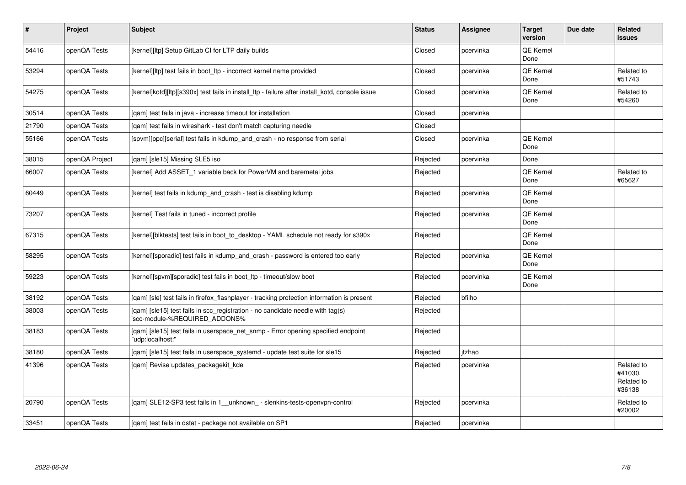| $\vert$ # | Project        | <b>Subject</b>                                                                                                  | <b>Status</b> | Assignee  | <b>Target</b><br>version | Due date | Related<br>issues                             |
|-----------|----------------|-----------------------------------------------------------------------------------------------------------------|---------------|-----------|--------------------------|----------|-----------------------------------------------|
| 54416     | openQA Tests   | [kernel][ltp] Setup GitLab CI for LTP daily builds                                                              | Closed        | pcervinka | QE Kernel<br>Done        |          |                                               |
| 53294     | openQA Tests   | [kernel][ltp] test fails in boot ltp - incorrect kernel name provided                                           | Closed        | pcervinka | QE Kernel<br>Done        |          | Related to<br>#51743                          |
| 54275     | openQA Tests   | [kernel]kotd][ltp][s390x] test fails in install ltp - failure after install kotd, console issue                 | Closed        | pcervinka | QE Kernel<br>Done        |          | Related to<br>#54260                          |
| 30514     | openQA Tests   | [gam] test fails in java - increase timeout for installation                                                    | Closed        | pcervinka |                          |          |                                               |
| 21790     | openQA Tests   | [gam] test fails in wireshark - test don't match capturing needle                                               | Closed        |           |                          |          |                                               |
| 55166     | openQA Tests   | [spvm][ppc][serial] test fails in kdump_and_crash - no response from serial                                     | Closed        | pcervinka | <b>QE Kernel</b><br>Done |          |                                               |
| 38015     | openQA Project | [gam] [sle15] Missing SLE5 iso                                                                                  | Rejected      | pcervinka | Done                     |          |                                               |
| 66007     | openQA Tests   | [kernel] Add ASSET_1 variable back for PowerVM and baremetal jobs                                               | Rejected      |           | <b>QE Kernel</b><br>Done |          | Related to<br>#65627                          |
| 60449     | openQA Tests   | [kernel] test fails in kdump_and_crash - test is disabling kdump                                                | Rejected      | pcervinka | QE Kernel<br>Done        |          |                                               |
| 73207     | openQA Tests   | [kernel] Test fails in tuned - incorrect profile                                                                | Rejected      | pcervinka | QE Kernel<br>Done        |          |                                               |
| 67315     | openQA Tests   | [kernel][blktests] test fails in boot_to_desktop - YAML schedule not ready for s390x                            | Rejected      |           | QE Kernel<br>Done        |          |                                               |
| 58295     | openQA Tests   | [kernel][sporadic] test fails in kdump_and_crash - password is entered too early                                | Rejected      | pcervinka | QE Kernel<br>Done        |          |                                               |
| 59223     | openQA Tests   | [kernel][spvm][sporadic] test fails in boot ltp - timeout/slow boot                                             | Rejected      | pcervinka | QE Kernel<br>Done        |          |                                               |
| 38192     | openQA Tests   | [gam] [sle] test fails in firefox flashplayer - tracking protection information is present                      | Rejected      | bfilho    |                          |          |                                               |
| 38003     | openQA Tests   | [qam] [sle15] test fails in scc_registration - no candidate needle with tag(s)<br>'scc-module-%REQUIRED_ADDONS% | Rejected      |           |                          |          |                                               |
| 38183     | openQA Tests   | [qam] [sle15] test fails in userspace_net_snmp - Error opening specified endpoint<br>'udp:localhost:"           | Rejected      |           |                          |          |                                               |
| 38180     | openQA Tests   | [qam] [sle15] test fails in userspace_systemd - update test suite for sle15                                     | Rejected      | itzhao    |                          |          |                                               |
| 41396     | openQA Tests   | [gam] Revise updates packagekit kde                                                                             | Rejected      | pcervinka |                          |          | Related to<br>#41030.<br>Related to<br>#36138 |
| 20790     | openQA Tests   | [qam] SLE12-SP3 test fails in 1__unknown_ - slenkins-tests-openvpn-control                                      | Rejected      | pcervinka |                          |          | Related to<br>#20002                          |
| 33451     | openQA Tests   | [qam] test fails in dstat - package not available on SP1                                                        | Rejected      | pcervinka |                          |          |                                               |